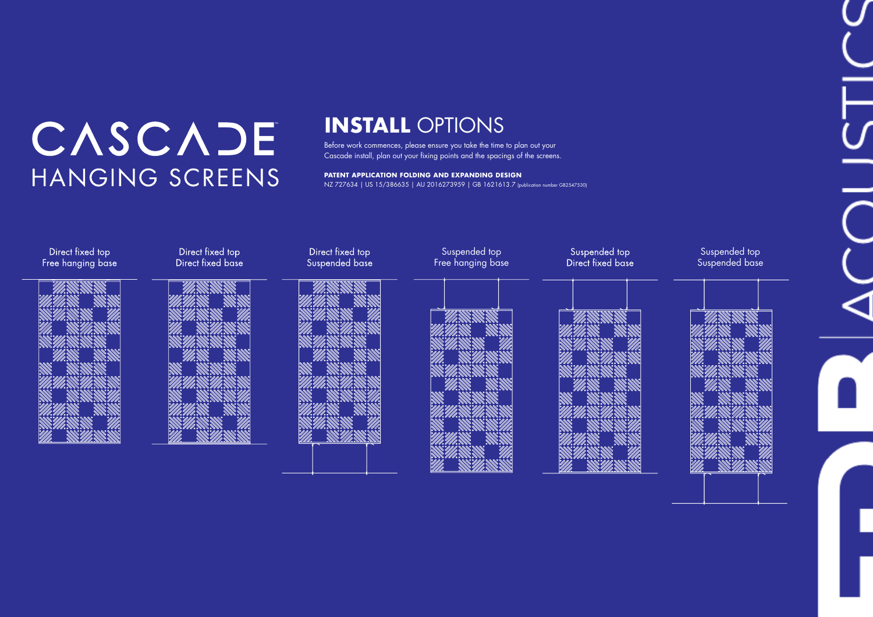# CASCADE HANGING SCREENS

### **INSTALL** OPTIONS

Before work commences, please ensure you take the time to plan out your Cascade install, plan out your fixing points and the spacings of the screens.

### Suspended top Suspended base





**PATENT APPLICATION FOLDING AND EXPANDING DESIGN**  NZ 727634 | US 15/386635 | AU 2016273959 | GB 1621613.7 (publication number GB2547530)

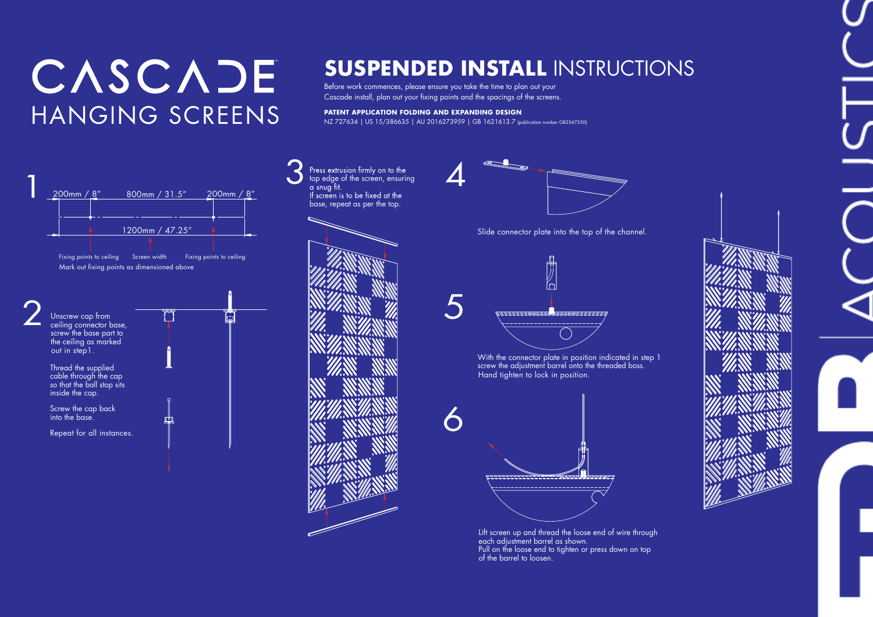## CASCADE HANGING SCREENS

## **SUSPENDED INSTALL** INSTRUCTIONS

Before work commences, please ensure you take the time to plan out your Cascade install, plan out your fixing points and the spacings of the screens.

> Lift screen up and thread the loose end of wire through each adjustment barrel as shown. Pull on the loose end to tighten or press down on top of the barrel to loosen.





With the connector plate in position indicated in step 1 screw the adjustment barrel onto the threaded boss. Hand tighten to lock in position.







### **PATENT APPLICATION FOLDING AND EXPANDING DESIGN**

NZ 727634 | US 15/386635 | AU 2016273959 | GB 1621613.7 (publication number GB2547530)

Slide connector plate into the top of the channel.